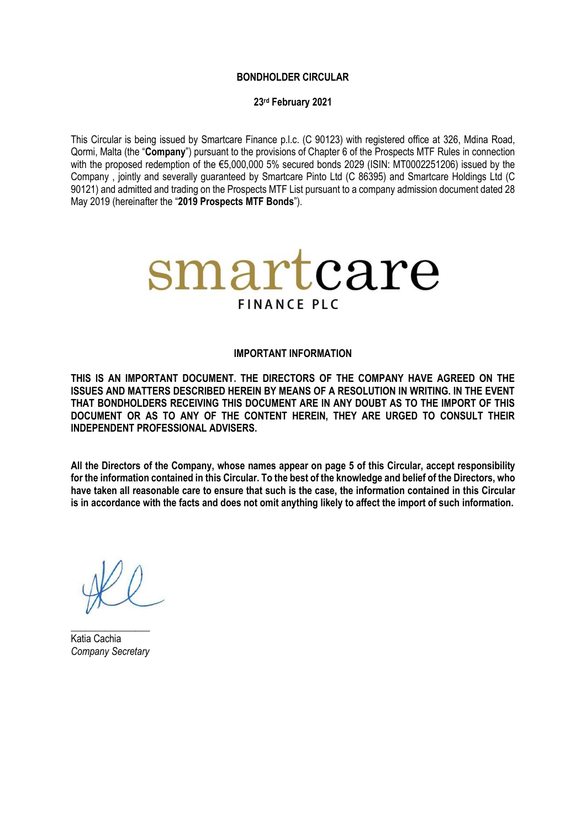### **BONDHOLDER CIRCULAR**

### **23rd February 2021**

This Circular is being issued by Smartcare Finance p.l.c. (C 90123) with registered office at 326, Mdina Road, Qormi, Malta (the "**Company**") pursuant to the provisions of Chapter 6 of the Prospects MTF Rules in connection with the proposed redemption of the €5,000,000 5% secured bonds 2029 (ISIN: MT0002251206) issued by the Company , jointly and severally guaranteed by Smartcare Pinto Ltd (C 86395) and Smartcare Holdings Ltd (C 90121) and admitted and trading on the Prospects MTF List pursuant to a company admission document dated 28 May 2019 (hereinafter the "**2019 Prospects MTF Bonds**").



#### **IMPORTANT INFORMATION**

**THIS IS AN IMPORTANT DOCUMENT. THE DIRECTORS OF THE COMPANY HAVE AGREED ON THE ISSUES AND MATTERS DESCRIBED HEREIN BY MEANS OF A RESOLUTION IN WRITING. IN THE EVENT THAT BONDHOLDERS RECEIVING THIS DOCUMENT ARE IN ANY DOUBT AS TO THE IMPORT OF THIS DOCUMENT OR AS TO ANY OF THE CONTENT HEREIN, THEY ARE URGED TO CONSULT THEIR INDEPENDENT PROFESSIONAL ADVISERS.** 

**All the Directors of the Company, whose names appear on page 5 of this Circular, accept responsibility for the information contained in this Circular. To the best of the knowledge and belief of the Directors, who have taken all reasonable care to ensure that such is the case, the information contained in this Circular is in accordance with the facts and does not omit anything likely to affect the import of such information.**

**\_\_\_\_\_\_\_\_\_\_\_\_\_\_\_\_** Katia Cachia *Company Secretary*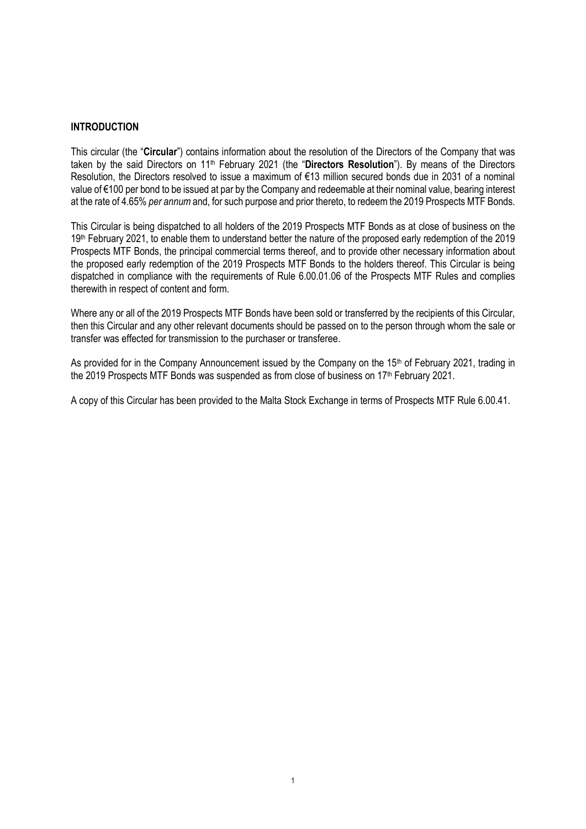### **INTRODUCTION**

This circular (the "**Circular**") contains information about the resolution of the Directors of the Company that was taken by the said Directors on 11th February 2021 (the "**Directors Resolution**"). By means of the Directors Resolution, the Directors resolved to issue a maximum of €13 million secured bonds due in 2031 of a nominal value of €100 per bond to be issued at par by the Company and redeemable at their nominal value, bearing interest at the rate of 4.65% *per annum* and, for such purpose and prior thereto, to redeem the 2019 Prospects MTF Bonds.

This Circular is being dispatched to all holders of the 2019 Prospects MTF Bonds as at close of business on the 19th February 2021, to enable them to understand better the nature of the proposed early redemption of the 2019 Prospects MTF Bonds, the principal commercial terms thereof, and to provide other necessary information about the proposed early redemption of the 2019 Prospects MTF Bonds to the holders thereof. This Circular is being dispatched in compliance with the requirements of Rule 6.00.01.06 of the Prospects MTF Rules and complies therewith in respect of content and form.

Where any or all of the 2019 Prospects MTF Bonds have been sold or transferred by the recipients of this Circular, then this Circular and any other relevant documents should be passed on to the person through whom the sale or transfer was effected for transmission to the purchaser or transferee.

As provided for in the Company Announcement issued by the Company on the 15<sup>th</sup> of February 2021, trading in the 2019 Prospects MTF Bonds was suspended as from close of business on 17<sup>th</sup> February 2021.

A copy of this Circular has been provided to the Malta Stock Exchange in terms of Prospects MTF Rule 6.00.41.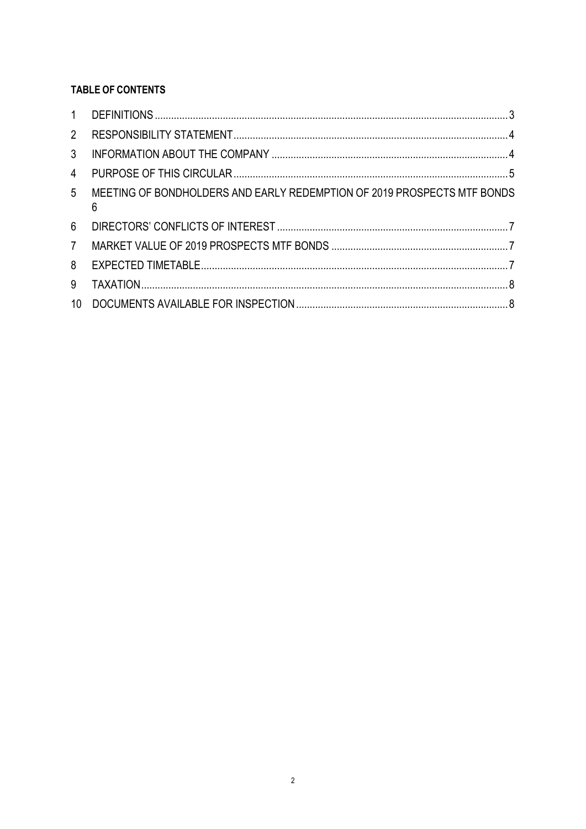# **TABLE OF CONTENTS**

| 1              |                                                                              |  |
|----------------|------------------------------------------------------------------------------|--|
| $\overline{2}$ |                                                                              |  |
| 3              |                                                                              |  |
| 4              |                                                                              |  |
| 5              | MEETING OF BONDHOLDERS AND EARLY REDEMPTION OF 2019 PROSPECTS MTF BONDS<br>6 |  |
| 6              |                                                                              |  |
| $7^{\circ}$    |                                                                              |  |
| 8              |                                                                              |  |
| 9              |                                                                              |  |
| 10             |                                                                              |  |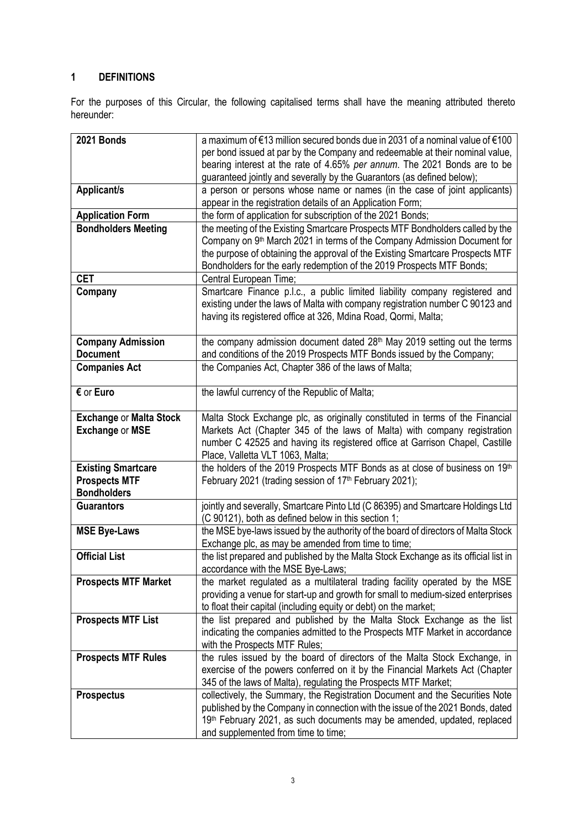# <span id="page-3-0"></span>**1 DEFINITIONS**

For the purposes of this Circular, the following capitalised terms shall have the meaning attributed thereto hereunder:

| 2021 Bonds                     | a maximum of €13 million secured bonds due in 2031 of a nominal value of €100        |
|--------------------------------|--------------------------------------------------------------------------------------|
|                                | per bond issued at par by the Company and redeemable at their nominal value,         |
|                                | bearing interest at the rate of 4.65% per annum. The 2021 Bonds are to be            |
|                                | guaranteed jointly and severally by the Guarantors (as defined below);               |
| Applicant/s                    | a person or persons whose name or names (in the case of joint applicants)            |
|                                | appear in the registration details of an Application Form;                           |
| <b>Application Form</b>        | the form of application for subscription of the 2021 Bonds;                          |
| <b>Bondholders Meeting</b>     | the meeting of the Existing Smartcare Prospects MTF Bondholders called by the        |
|                                | Company on 9 <sup>th</sup> March 2021 in terms of the Company Admission Document for |
|                                | the purpose of obtaining the approval of the Existing Smartcare Prospects MTF        |
|                                | Bondholders for the early redemption of the 2019 Prospects MTF Bonds;                |
| <b>CET</b>                     | Central European Time;                                                               |
|                                | Smartcare Finance p.l.c., a public limited liability company registered and          |
| Company                        |                                                                                      |
|                                | existing under the laws of Malta with company registration number C 90123 and        |
|                                | having its registered office at 326, Mdina Road, Qormi, Malta;                       |
|                                |                                                                                      |
| <b>Company Admission</b>       | the company admission document dated 28 <sup>th</sup> May 2019 setting out the terms |
| <b>Document</b>                | and conditions of the 2019 Prospects MTF Bonds issued by the Company;                |
| <b>Companies Act</b>           | the Companies Act, Chapter 386 of the laws of Malta;                                 |
|                                |                                                                                      |
| € or Euro                      | the lawful currency of the Republic of Malta;                                        |
|                                |                                                                                      |
| <b>Exchange or Malta Stock</b> | Malta Stock Exchange plc, as originally constituted in terms of the Financial        |
| <b>Exchange or MSE</b>         | Markets Act (Chapter 345 of the laws of Malta) with company registration             |
|                                | number C 42525 and having its registered office at Garrison Chapel, Castille         |
|                                | Place, Valletta VLT 1063, Malta;                                                     |
| <b>Existing Smartcare</b>      | the holders of the 2019 Prospects MTF Bonds as at close of business on 19th          |
| <b>Prospects MTF</b>           | February 2021 (trading session of 17 <sup>th</sup> February 2021);                   |
| <b>Bondholders</b>             |                                                                                      |
| <b>Guarantors</b>              | jointly and severally, Smartcare Pinto Ltd (C 86395) and Smartcare Holdings Ltd      |
|                                | (C 90121), both as defined below in this section 1;                                  |
| <b>MSE Bye-Laws</b>            | the MSE bye-laws issued by the authority of the board of directors of Malta Stock    |
|                                | Exchange plc, as may be amended from time to time;                                   |
| <b>Official List</b>           | the list prepared and published by the Malta Stock Exchange as its official list in  |
|                                | accordance with the MSE Bye-Laws;                                                    |
| <b>Prospects MTF Market</b>    | the market regulated as a multilateral trading facility operated by the MSE          |
|                                | providing a venue for start-up and growth for small to medium-sized enterprises      |
|                                | to float their capital (including equity or debt) on the market;                     |
| <b>Prospects MTF List</b>      | the list prepared and published by the Malta Stock Exchange as the list              |
|                                | indicating the companies admitted to the Prospects MTF Market in accordance          |
|                                | with the Prospects MTF Rules;                                                        |
| <b>Prospects MTF Rules</b>     | the rules issued by the board of directors of the Malta Stock Exchange, in           |
|                                | exercise of the powers conferred on it by the Financial Markets Act (Chapter         |
|                                | 345 of the laws of Malta), regulating the Prospects MTF Market;                      |
|                                |                                                                                      |
| <b>Prospectus</b>              | collectively, the Summary, the Registration Document and the Securities Note         |
|                                | published by the Company in connection with the issue of the 2021 Bonds, dated       |
|                                | 19 <sup>th</sup> February 2021, as such documents may be amended, updated, replaced  |
|                                | and supplemented from time to time;                                                  |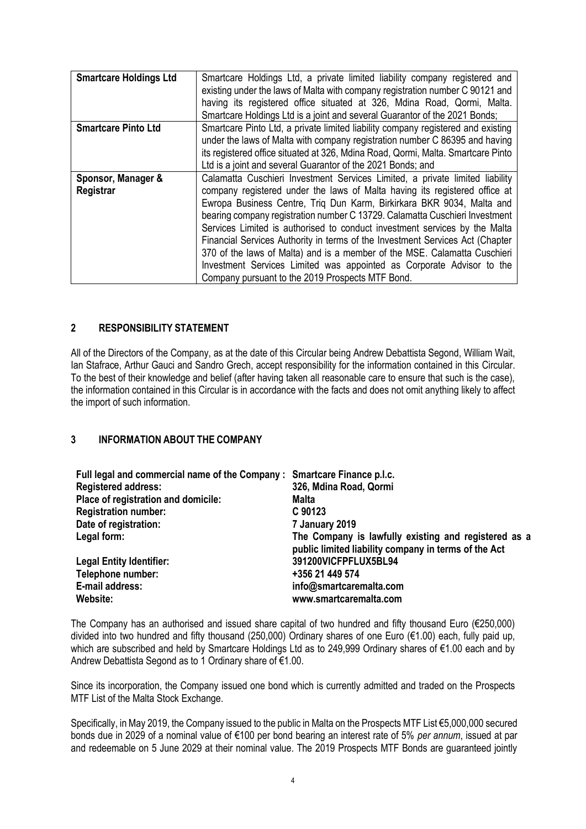| <b>Smartcare Holdings Ltd</b>   | Smartcare Holdings Ltd, a private limited liability company registered and<br>existing under the laws of Malta with company registration number C 90121 and<br>having its registered office situated at 326, Mdina Road, Qormi, Malta.<br>Smartcare Holdings Ltd is a joint and several Guarantor of the 2021 Bonds;                                                                                                                                                                                                                                                                                                                                                                        |
|---------------------------------|---------------------------------------------------------------------------------------------------------------------------------------------------------------------------------------------------------------------------------------------------------------------------------------------------------------------------------------------------------------------------------------------------------------------------------------------------------------------------------------------------------------------------------------------------------------------------------------------------------------------------------------------------------------------------------------------|
| <b>Smartcare Pinto Ltd</b>      | Smartcare Pinto Ltd, a private limited liability company registered and existing<br>under the laws of Malta with company registration number C 86395 and having<br>its registered office situated at 326, Mdina Road, Qormi, Malta. Smartcare Pinto<br>Ltd is a joint and several Guarantor of the 2021 Bonds; and                                                                                                                                                                                                                                                                                                                                                                          |
| Sponsor, Manager &<br>Registrar | Calamatta Cuschieri Investment Services Limited, a private limited liability<br>company registered under the laws of Malta having its registered office at<br>Ewropa Business Centre, Triq Dun Karm, Birkirkara BKR 9034, Malta and<br>bearing company registration number C 13729. Calamatta Cuschieri Investment<br>Services Limited is authorised to conduct investment services by the Malta<br>Financial Services Authority in terms of the Investment Services Act (Chapter<br>370 of the laws of Malta) and is a member of the MSE. Calamatta Cuschieri<br>Investment Services Limited was appointed as Corporate Advisor to the<br>Company pursuant to the 2019 Prospects MTF Bond. |

## <span id="page-4-0"></span>**2 RESPONSIBILITY STATEMENT**

All of the Directors of the Company, as at the date of this Circular being Andrew Debattista Segond, William Wait, Ian Stafrace, Arthur Gauci and Sandro Grech, accept responsibility for the information contained in this Circular. To the best of their knowledge and belief (after having taken all reasonable care to ensure that such is the case), the information contained in this Circular is in accordance with the facts and does not omit anything likely to affect the import of such information.

### <span id="page-4-1"></span>**3 INFORMATION ABOUT THE COMPANY**

| Full legal and commercial name of the Company : Smartcare Finance p.l.c. |                                                                                                              |
|--------------------------------------------------------------------------|--------------------------------------------------------------------------------------------------------------|
| <b>Registered address:</b>                                               | 326, Mdina Road, Qormi                                                                                       |
| Place of registration and domicile:                                      | Malta                                                                                                        |
| <b>Registration number:</b>                                              | C 90123                                                                                                      |
| Date of registration:                                                    | 7 January 2019                                                                                               |
| Legal form:                                                              | The Company is lawfully existing and registered as a<br>public limited liability company in terms of the Act |
| <b>Legal Entity Identifier:</b>                                          | 391200VICFPFLUX5BL94                                                                                         |
| Telephone number:                                                        | +356 21 449 574                                                                                              |
| E-mail address:                                                          | info@smartcaremalta.com                                                                                      |
| Website:                                                                 | www.smartcaremalta.com                                                                                       |

The Company has an authorised and issued share capital of two hundred and fifty thousand Euro (€250,000) divided into two hundred and fifty thousand (250,000) Ordinary shares of one Euro (€1.00) each, fully paid up, which are subscribed and held by Smartcare Holdings Ltd as to 249,999 Ordinary shares of €1.00 each and by Andrew Debattista Segond as to 1 Ordinary share of €1.00.

Since its incorporation, the Company issued one bond which is currently admitted and traded on the Prospects MTF List of the Malta Stock Exchange.

Specifically, in May 2019, the Company issued to the public in Malta on the Prospects MTF List €5,000,000 secured bonds due in 2029 of a nominal value of €100 per bond bearing an interest rate of 5% *per annum*, issued at par and redeemable on 5 June 2029 at their nominal value. The 2019 Prospects MTF Bonds are guaranteed jointly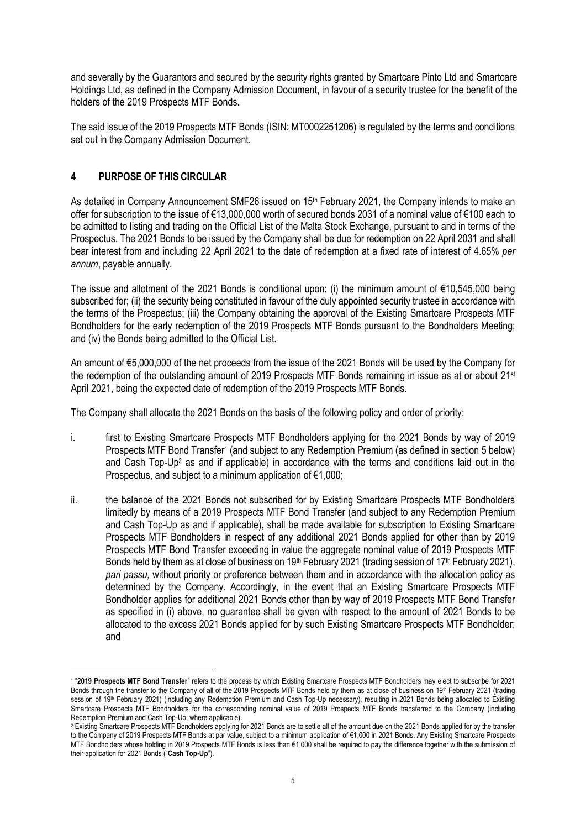and severally by the Guarantors and secured by the security rights granted by Smartcare Pinto Ltd and Smartcare Holdings Ltd, as defined in the Company Admission Document, in favour of a security trustee for the benefit of the holders of the 2019 Prospects MTF Bonds.

The said issue of the 2019 Prospects MTF Bonds (ISIN: MT0002251206) is regulated by the terms and conditions set out in the Company Admission Document.

# <span id="page-5-0"></span>**4 PURPOSE OF THIS CIRCULAR**

As detailed in Company Announcement SMF26 issued on 15<sup>th</sup> February 2021, the Company intends to make an offer for subscription to the issue of €13,000,000 worth of secured bonds 2031 of a nominal value of €100 each to be admitted to listing and trading on the Official List of the Malta Stock Exchange, pursuant to and in terms of the Prospectus. The 2021 Bonds to be issued by the Company shall be due for redemption on 22 April 2031 and shall bear interest from and including 22 April 2021 to the date of redemption at a fixed rate of interest of 4.65% *per annum*, payable annually.

The issue and allotment of the 2021 Bonds is conditional upon: (i) the minimum amount of  $\epsilon$ 10,545,000 being subscribed for; (ii) the security being constituted in favour of the duly appointed security trustee in accordance with the terms of the Prospectus; (iii) the Company obtaining the approval of the Existing Smartcare Prospects MTF Bondholders for the early redemption of the 2019 Prospects MTF Bonds pursuant to the Bondholders Meeting; and (iv) the Bonds being admitted to the Official List.

An amount of €5,000,000 of the net proceeds from the issue of the 2021 Bonds will be used by the Company for the redemption of the outstanding amount of 2019 Prospects MTF Bonds remaining in issue as at or about 21st April 2021, being the expected date of redemption of the 2019 Prospects MTF Bonds.

The Company shall allocate the 2021 Bonds on the basis of the following policy and order of priority:

- i. first to Existing Smartcare Prospects MTF Bondholders applying for the 2021 Bonds by way of 2019 Prospects MTF Bond Transfer<sup>1</sup> (and subject to any Redemption Premium (as defined in section 5 below) and Cash Top-Up<sup>2</sup> as and if applicable) in accordance with the terms and conditions laid out in the Prospectus, and subject to a minimum application of  $\epsilon$ 1,000;
- ii. the balance of the 2021 Bonds not subscribed for by Existing Smartcare Prospects MTF Bondholders limitedly by means of a 2019 Prospects MTF Bond Transfer (and subject to any Redemption Premium and Cash Top-Up as and if applicable), shall be made available for subscription to Existing Smartcare Prospects MTF Bondholders in respect of any additional 2021 Bonds applied for other than by 2019 Prospects MTF Bond Transfer exceeding in value the aggregate nominal value of 2019 Prospects MTF Bonds held by them as at close of business on 19<sup>th</sup> February 2021 (trading session of 17<sup>th</sup> February 2021), *pari passu,* without priority or preference between them and in accordance with the allocation policy as determined by the Company. Accordingly, in the event that an Existing Smartcare Prospects MTF Bondholder applies for additional 2021 Bonds other than by way of 2019 Prospects MTF Bond Transfer as specified in (i) above, no guarantee shall be given with respect to the amount of 2021 Bonds to be allocated to the excess 2021 Bonds applied for by such Existing Smartcare Prospects MTF Bondholder; and

<sup>1</sup> "**2019 Prospects MTF Bond Transfer**" refers to the process by which Existing Smartcare Prospects MTF Bondholders may elect to subscribe for 2021 Bonds through the transfer to the Company of all of the 2019 Prospects MTF Bonds held by them as at close of business on 19<sup>th</sup> February 2021 (trading session of 19<sup>th</sup> February 2021) (including any Redemption Premium and Cash Top-Up necessary), resulting in 2021 Bonds being allocated to Existing Smartcare Prospects MTF Bondholders for the corresponding nominal value of 2019 Prospects MTF Bonds transferred to the Company (including Redemption Premium and Cash Top-Up, where applicable).

<sup>&</sup>lt;sup>2</sup> Existing Smartcare Prospects MTF Bondholders applying for 2021 Bonds are to settle all of the amount due on the 2021 Bonds applied for by the transfer to the Company of 2019 Prospects MTF Bonds at par value, subject to a minimum application of €1,000 in 2021 Bonds. Any Existing Smartcare Prospects MTF Bondholders whose holding in 2019 Prospects MTF Bonds is less than €1,000 shall be required to pay the difference together with the submission of their application for 2021 Bonds ("**Cash Top-Up**").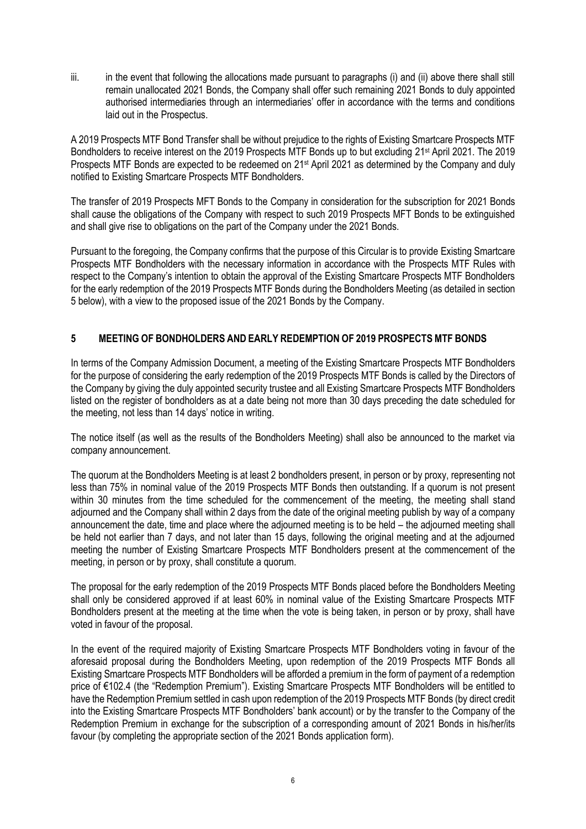iii. in the event that following the allocations made pursuant to paragraphs (i) and (ii) above there shall still remain unallocated 2021 Bonds, the Company shall offer such remaining 2021 Bonds to duly appointed authorised intermediaries through an intermediaries' offer in accordance with the terms and conditions laid out in the Prospectus.

A 2019 Prospects MTF Bond Transfer shall be without prejudice to the rights of Existing Smartcare Prospects MTF Bondholders to receive interest on the 2019 Prospects MTF Bonds up to but excluding 21st April 2021. The 2019 Prospects MTF Bonds are expected to be redeemed on 21<sup>st</sup> April 2021 as determined by the Company and duly notified to Existing Smartcare Prospects MTF Bondholders.

The transfer of 2019 Prospects MFT Bonds to the Company in consideration for the subscription for 2021 Bonds shall cause the obligations of the Company with respect to such 2019 Prospects MFT Bonds to be extinguished and shall give rise to obligations on the part of the Company under the 2021 Bonds.

Pursuant to the foregoing, the Company confirms that the purpose of this Circular is to provide Existing Smartcare Prospects MTF Bondholders with the necessary information in accordance with the Prospects MTF Rules with respect to the Company's intention to obtain the approval of the Existing Smartcare Prospects MTF Bondholders for the early redemption of the 2019 Prospects MTF Bonds during the Bondholders Meeting (as detailed in section 5 below), with a view to the proposed issue of the 2021 Bonds by the Company.

# <span id="page-6-0"></span>**5 MEETING OF BONDHOLDERS AND EARLY REDEMPTION OF 2019 PROSPECTS MTF BONDS**

In terms of the Company Admission Document, a meeting of the Existing Smartcare Prospects MTF Bondholders for the purpose of considering the early redemption of the 2019 Prospects MTF Bonds is called by the Directors of the Company by giving the duly appointed security trustee and all Existing Smartcare Prospects MTF Bondholders listed on the register of bondholders as at a date being not more than 30 days preceding the date scheduled for the meeting, not less than 14 days' notice in writing.

The notice itself (as well as the results of the Bondholders Meeting) shall also be announced to the market via company announcement.

The quorum at the Bondholders Meeting is at least 2 bondholders present, in person or by proxy, representing not less than 75% in nominal value of the 2019 Prospects MTF Bonds then outstanding. If a quorum is not present within 30 minutes from the time scheduled for the commencement of the meeting, the meeting shall stand adjourned and the Company shall within 2 days from the date of the original meeting publish by way of a company announcement the date, time and place where the adjourned meeting is to be held – the adjourned meeting shall be held not earlier than 7 days, and not later than 15 days, following the original meeting and at the adjourned meeting the number of Existing Smartcare Prospects MTF Bondholders present at the commencement of the meeting, in person or by proxy, shall constitute a quorum.

The proposal for the early redemption of the 2019 Prospects MTF Bonds placed before the Bondholders Meeting shall only be considered approved if at least 60% in nominal value of the Existing Smartcare Prospects MTF Bondholders present at the meeting at the time when the vote is being taken, in person or by proxy, shall have voted in favour of the proposal.

In the event of the required majority of Existing Smartcare Prospects MTF Bondholders voting in favour of the aforesaid proposal during the Bondholders Meeting, upon redemption of the 2019 Prospects MTF Bonds all Existing Smartcare Prospects MTF Bondholders will be afforded a premium in the form of payment of a redemption price of €102.4 (the "Redemption Premium"). Existing Smartcare Prospects MTF Bondholders will be entitled to have the Redemption Premium settled in cash upon redemption of the 2019 Prospects MTF Bonds (by direct credit into the Existing Smartcare Prospects MTF Bondholders' bank account) or by the transfer to the Company of the Redemption Premium in exchange for the subscription of a corresponding amount of 2021 Bonds in his/her/its favour (by completing the appropriate section of the 2021 Bonds application form).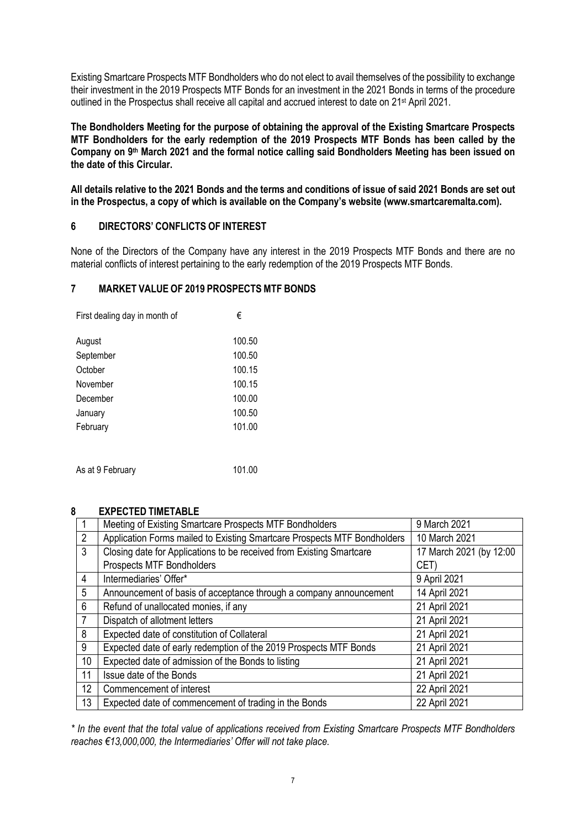Existing Smartcare Prospects MTF Bondholders who do not elect to avail themselves of the possibility to exchange their investment in the 2019 Prospects MTF Bonds for an investment in the 2021 Bonds in terms of the procedure outlined in the Prospectus shall receive all capital and accrued interest to date on 21<sup>st</sup> April 2021.

**The Bondholders Meeting for the purpose of obtaining the approval of the Existing Smartcare Prospects MTF Bondholders for the early redemption of the 2019 Prospects MTF Bonds has been called by the Company on 9 th March 2021 and the formal notice calling said Bondholders Meeting has been issued on the date of this Circular.** 

**All details relative to the 2021 Bonds and the terms and conditions of issue of said 2021 Bonds are set out in the Prospectus, a copy of which is available on the Company's website [\(www.smartcaremalta.com\)](https://ct-url-protection-us.portal.checkpoint.com/v1/load/LWIfxfXM2punUGifd5P8yRYwb8xkkN6p3s4F-2tVuaoMWkdtfPryGOs_43W3gL6v_6p9fFPnc2In-UAXOcnMIYFeajrFFrFbAoA-fZZvZBFzT9zWCIc_kcpppILp11bZOTTzvYOwXjtWYty13Q24p1toLKltClQostJssjtT24HBtnnumrz1SBWRcGzZpsQWv8aspEoe19VpPoKfPw).**

### <span id="page-7-0"></span>**6 DIRECTORS' CONFLICTS OF INTEREST**

None of the Directors of the Company have any interest in the 2019 Prospects MTF Bonds and there are no material conflicts of interest pertaining to the early redemption of the 2019 Prospects MTF Bonds.

### <span id="page-7-1"></span>**7 MARKET VALUE OF 2019 PROSPECTS MTF BONDS**

| First dealing day in month of | €      |
|-------------------------------|--------|
| August                        | 100.50 |
| September                     | 100.50 |
| October                       | 100.15 |
| November                      | 100.15 |
| December                      | 100.00 |
| January                       | 100.50 |
| February                      | 101.00 |
|                               |        |
| As at 9 February              | 101.00 |

### <span id="page-7-2"></span>**8 EXPECTED TIMETABLE**

|                | Meeting of Existing Smartcare Prospects MTF Bondholders                  | 9 March 2021            |
|----------------|--------------------------------------------------------------------------|-------------------------|
| $\overline{2}$ | Application Forms mailed to Existing Smartcare Prospects MTF Bondholders | 10 March 2021           |
| 3              | Closing date for Applications to be received from Existing Smartcare     | 17 March 2021 (by 12:00 |
|                | Prospects MTF Bondholders                                                | CET)                    |
| 4              | Intermediaries' Offer*                                                   | 9 April 2021            |
| 5              | Announcement of basis of acceptance through a company announcement       | 14 April 2021           |
| 6              | Refund of unallocated monies, if any                                     | 21 April 2021           |
| 7              | Dispatch of allotment letters                                            | 21 April 2021           |
| 8              | Expected date of constitution of Collateral                              | 21 April 2021           |
| 9              | Expected date of early redemption of the 2019 Prospects MTF Bonds        | 21 April 2021           |
| 10             | Expected date of admission of the Bonds to listing                       | 21 April 2021           |
| 11             | Issue date of the Bonds                                                  | 21 April 2021           |
| 12             | Commencement of interest                                                 | 22 April 2021           |
| 13             | Expected date of commencement of trading in the Bonds                    | 22 April 2021           |

*\* In the event that the total value of applications received from Existing Smartcare Prospects MTF Bondholders reaches €13,000,000, the Intermediaries' Offer will not take place.*